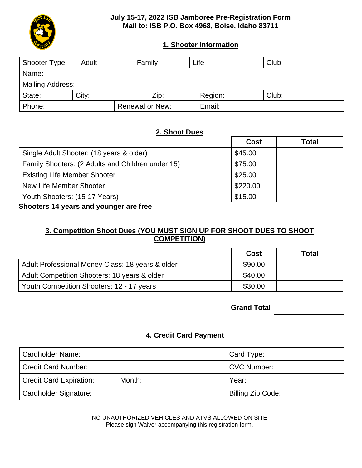

## **July 15-17, 2022 ISB Jamboree Pre-Registration Form Mail to: ISB P.O. Box 4968, Boise, Idaho 83711**

# **1. Shooter Information**

| Shooter Type:           | Family<br>Adult |                        |      | Life    | Club  |  |
|-------------------------|-----------------|------------------------|------|---------|-------|--|
| Name:                   |                 |                        |      |         |       |  |
| <b>Mailing Address:</b> |                 |                        |      |         |       |  |
| State:                  | City:           |                        | Zip: | Region: | Club: |  |
| Phone:                  |                 | <b>Renewal or New:</b> |      | Email:  |       |  |

# **2. Shoot Dues**

|                                                   | Cost     | Total |
|---------------------------------------------------|----------|-------|
| Single Adult Shooter: (18 years & older)          | \$45.00  |       |
| Family Shooters: (2 Adults and Children under 15) | \$75.00  |       |
| <b>Existing Life Member Shooter</b>               | \$25.00  |       |
| New Life Member Shooter                           | \$220.00 |       |
| Youth Shooters: (15-17 Years)                     | \$15.00  |       |

**Shooters 14 years and younger are free**

# **3. Competition Shoot Dues (YOU MUST SIGN UP FOR SHOOT DUES TO SHOOT COMPETITION)**

|                                                  | Cost    | Total |
|--------------------------------------------------|---------|-------|
| Adult Professional Money Class: 18 years & older | \$90.00 |       |
| Adult Competition Shooters: 18 years & older     | \$40.00 |       |
| Youth Competition Shooters: 12 - 17 years        | \$30.00 |       |

**Grand Total**

# **4. Credit Card Payment**

| <b>Cardholder Name:</b>        | Card Type:        |                    |  |
|--------------------------------|-------------------|--------------------|--|
| <b>Credit Card Number:</b>     |                   | <b>CVC Number:</b> |  |
| <b>Credit Card Expiration:</b> | Month:            | Year:              |  |
| Cardholder Signature:          | Billing Zip Code: |                    |  |

NO UNAUTHORIZED VEHICLES AND ATVS ALLOWED ON SITE Please sign Waiver accompanying this registration form.